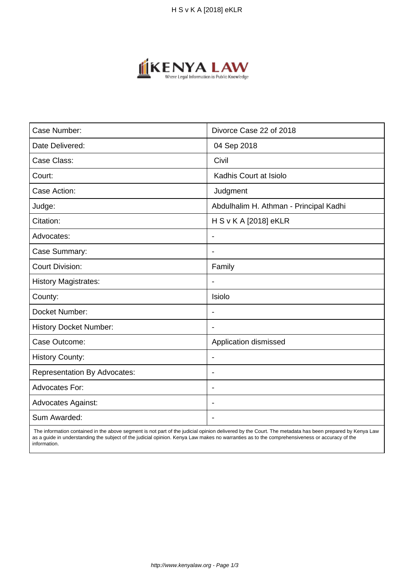

| Case Number:                        | Divorce Case 22 of 2018                |
|-------------------------------------|----------------------------------------|
| Date Delivered:                     | 04 Sep 2018                            |
| Case Class:                         | Civil                                  |
| Court:                              | Kadhis Court at Isiolo                 |
| Case Action:                        | Judgment                               |
| Judge:                              | Abdulhalim H. Athman - Principal Kadhi |
| Citation:                           | H S v K A [2018] eKLR                  |
| Advocates:                          | $\blacksquare$                         |
| Case Summary:                       | $\blacksquare$                         |
| <b>Court Division:</b>              | Family                                 |
| <b>History Magistrates:</b>         |                                        |
| County:                             | Isiolo                                 |
| Docket Number:                      | $\overline{\phantom{a}}$               |
| <b>History Docket Number:</b>       | $\overline{\phantom{0}}$               |
| Case Outcome:                       | Application dismissed                  |
| <b>History County:</b>              | $\blacksquare$                         |
| <b>Representation By Advocates:</b> | $\overline{\phantom{a}}$               |
| <b>Advocates For:</b>               | $\blacksquare$                         |
| <b>Advocates Against:</b>           | $\overline{\phantom{a}}$               |
| Sum Awarded:                        |                                        |

 The information contained in the above segment is not part of the judicial opinion delivered by the Court. The metadata has been prepared by Kenya Law as a guide in understanding the subject of the judicial opinion. Kenya Law makes no warranties as to the comprehensiveness or accuracy of the information.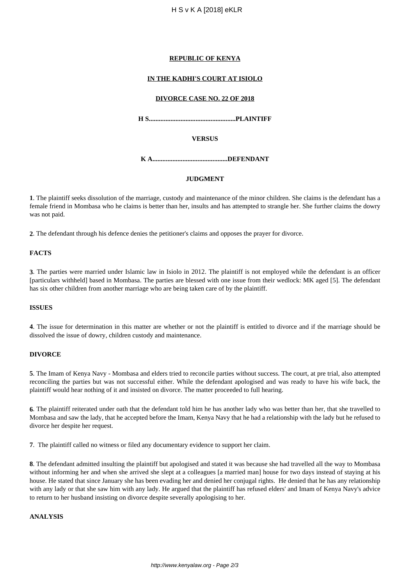## **REPUBLIC OF KENYA**

## **IN THE KADHI'S COURT AT ISIOLO**

### **DIVORCE CASE NO. 22 OF 2018**

**H S....................................................PLAINTIFF**

### **VERSUS**

**K A.............................................DEFENDANT**

## **JUDGMENT**

**1**. The plaintiff seeks dissolution of the marriage, custody and maintenance of the minor children. She claims is the defendant has a female friend in Mombasa who he claims is better than her, insults and has attempted to strangle her. She further claims the dowry was not paid.

**2**. The defendant through his defence denies the petitioner's claims and opposes the prayer for divorce.

## **FACTS**

**3**. The parties were married under Islamic law in Isiolo in 2012. The plaintiff is not employed while the defendant is an officer [particulars withheld] based in Mombasa. The parties are blessed with one issue from their wedlock: MK aged [5]. The defendant has six other children from another marriage who are being taken care of by the plaintiff.

## **ISSUES**

**4**. The issue for determination in this matter are whether or not the plaintiff is entitled to divorce and if the marriage should be dissolved the issue of dowry, children custody and maintenance.

#### **DIVORCE**

**5**. The Imam of Kenya Navy - Mombasa and elders tried to reconcile parties without success. The court, at pre trial, also attempted reconciling the parties but was not successful either. While the defendant apologised and was ready to have his wife back, the plaintiff would hear nothing of it and insisted on divorce. The matter proceeded to full hearing.

**6**. The plaintiff reiterated under oath that the defendant told him he has another lady who was better than her, that she travelled to Mombasa and saw the lady, that he accepted before the Imam, Kenya Navy that he had a relationship with the lady but he refused to divorce her despite her request.

**7**. The plaintiff called no witness or filed any documentary evidence to support her claim.

**8**. The defendant admitted insulting the plaintiff but apologised and stated it was because she had travelled all the way to Mombasa without informing her and when she arrived she slept at a colleagues [a married man] house for two days instead of staying at his house. He stated that since January she has been evading her and denied her conjugal rights. He denied that he has any relationship with any lady or that she saw him with any lady. He argued that the plaintiff has refused elders' and Imam of Kenya Navy's advice to return to her husband insisting on divorce despite severally apologising to her.

#### **ANALYSIS**